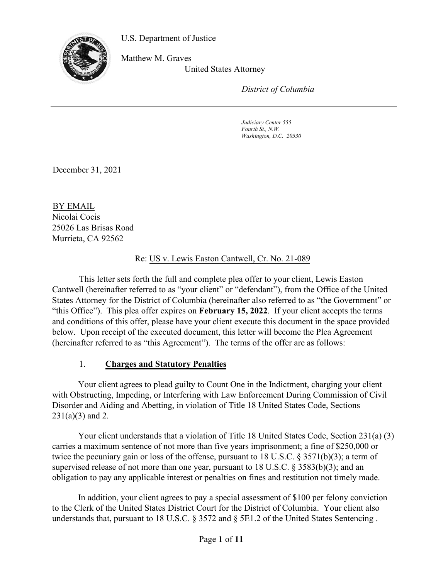U.S. Department of Justice



Matthew M. Graves

United States Attorney

*District of Columbia*

*Judiciary Center 555 Fourth St., N.W. Washington, D.C. 20530*

December 31, 2021

BY EMAIL Nicolai Cocis 25026 Las Brisas Road Murrieta, CA 92562

## Re: US v. Lewis Easton Cantwell, Cr. No. 21-089

This letter sets forth the full and complete plea offer to your client, Lewis Easton Cantwell (hereinafter referred to as "your client" or "defendant"), from the Office of the United States Attorney for the District of Columbia (hereinafter also referred to as "the Government" or "this Office"). This plea offer expires on **February 15, 2022**. If your client accepts the terms and conditions of this offer, please have your client execute this document in the space provided below. Upon receipt of the executed document, this letter will become the Plea Agreement (hereinafter referred to as "this Agreement"). The terms of the offer are as follows:

## 1. **Charges and Statutory Penalties**

Your client agrees to plead guilty to Count One in the Indictment, charging your client with Obstructing, Impeding, or Interfering with Law Enforcement During Commission of Civil Disorder and Aiding and Abetting, in violation of Title 18 United States Code, Sections  $231(a)(3)$  and 2.

Your client understands that a violation of Title 18 United States Code, Section 231(a) (3) carries a maximum sentence of not more than five years imprisonment; a fine of \$250,000 or twice the pecuniary gain or loss of the offense, pursuant to 18 U.S.C. § 3571(b)(3); a term of supervised release of not more than one year, pursuant to 18 U.S.C. § 3583(b)(3); and an obligation to pay any applicable interest or penalties on fines and restitution not timely made.

In addition, your client agrees to pay a special assessment of \$100 per felony conviction to the Clerk of the United States District Court for the District of Columbia. Your client also understands that, pursuant to 18 U.S.C. § 3572 and § 5E1.2 of the United States Sentencing .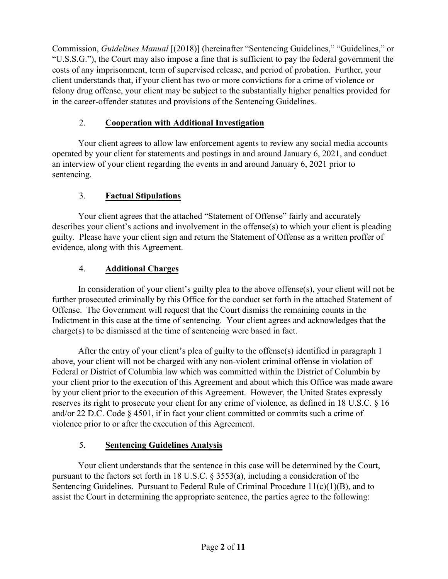Commission, *Guidelines Manual* [(2018)] (hereinafter "Sentencing Guidelines," "Guidelines," or "U.S.S.G."), the Court may also impose a fine that is sufficient to pay the federal government the costs of any imprisonment, term of supervised release, and period of probation. Further, your client understands that, if your client has two or more convictions for a crime of violence or felony drug offense, your client may be subject to the substantially higher penalties provided for in the career-offender statutes and provisions of the Sentencing Guidelines.

# 2. **Cooperation with Additional Investigation**

Your client agrees to allow law enforcement agents to review any social media accounts operated by your client for statements and postings in and around January 6, 2021, and conduct an interview of your client regarding the events in and around January 6, 2021 prior to sentencing.

# 3. **Factual Stipulations**

Your client agrees that the attached "Statement of Offense" fairly and accurately describes your client's actions and involvement in the offense(s) to which your client is pleading guilty. Please have your client sign and return the Statement of Offense as a written proffer of evidence, along with this Agreement.

# 4. **Additional Charges**

In consideration of your client's guilty plea to the above offense(s), your client will not be further prosecuted criminally by this Office for the conduct set forth in the attached Statement of Offense. The Government will request that the Court dismiss the remaining counts in the Indictment in this case at the time of sentencing. Your client agrees and acknowledges that the charge(s) to be dismissed at the time of sentencing were based in fact.

After the entry of your client's plea of guilty to the offense(s) identified in paragraph  $1$ above, your client will not be charged with any non-violent criminal offense in violation of Federal or District of Columbia law which was committed within the District of Columbia by your client prior to the execution of this Agreement and about which this Office was made aware by your client prior to the execution of this Agreement. However, the United States expressly reserves its right to prosecute your client for any crime of violence, as defined in 18 U.S.C. § 16 and/or 22 D.C. Code § 4501, if in fact your client committed or commits such a crime of violence prior to or after the execution of this Agreement.

## 5. **Sentencing Guidelines Analysis**

Your client understands that the sentence in this case will be determined by the Court, pursuant to the factors set forth in 18 U.S.C. § 3553(a), including a consideration of the Sentencing Guidelines. Pursuant to Federal Rule of Criminal Procedure 11(c)(1)(B), and to assist the Court in determining the appropriate sentence, the parties agree to the following: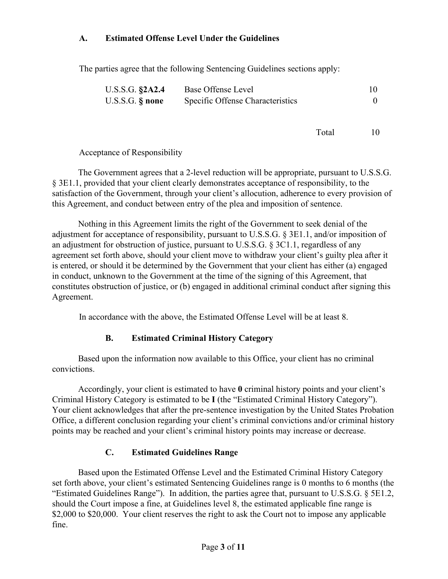### **A. Estimated Offense Level Under the Guidelines**

The parties agree that the following Sentencing Guidelines sections apply:

| U.S.S.G. §2A2.4     | Base Offense Level               |  |
|---------------------|----------------------------------|--|
| $U.S.S.G.$ $§$ none | Specific Offense Characteristics |  |

#### Total 10

Acceptance of Responsibility

The Government agrees that a 2-level reduction will be appropriate, pursuant to U.S.S.G. § 3E1.1, provided that your client clearly demonstrates acceptance of responsibility, to the satisfaction of the Government, through your client's allocution, adherence to every provision of this Agreement, and conduct between entry of the plea and imposition of sentence.

Nothing in this Agreement limits the right of the Government to seek denial of the adjustment for acceptance of responsibility, pursuant to U.S.S.G. § 3E1.1, and/or imposition of an adjustment for obstruction of justice, pursuant to U.S.S.G. § 3C1.1, regardless of any agreement set forth above, should your client move to withdraw your client's guilty plea after it is entered, or should it be determined by the Government that your client has either (a) engaged in conduct, unknown to the Government at the time of the signing of this Agreement, that constitutes obstruction of justice, or (b) engaged in additional criminal conduct after signing this Agreement.

In accordance with the above, the Estimated Offense Level will be at least 8.

## **B. Estimated Criminal History Category**

Based upon the information now available to this Office, your client has no criminal convictions.

Accordingly, your client is estimated to have **0** criminal history points and your client's Criminal History Category is estimated to be **I** (the "Estimated Criminal History Category"). Your client acknowledges that after the pre-sentence investigation by the United States Probation Office, a different conclusion regarding your client's criminal convictions and/or criminal history points may be reached and your client's criminal history points may increase or decrease.

# **C. Estimated Guidelines Range**

Based upon the Estimated Offense Level and the Estimated Criminal History Category set forth above, your client's estimated Sentencing Guidelines range is 0 months to 6 months (the "Estimated Guidelines Range"). In addition, the parties agree that, pursuant to U.S.S.G. § 5E1.2, should the Court impose a fine, at Guidelines level 8, the estimated applicable fine range is \$2,000 to \$20,000. Your client reserves the right to ask the Court not to impose any applicable fine.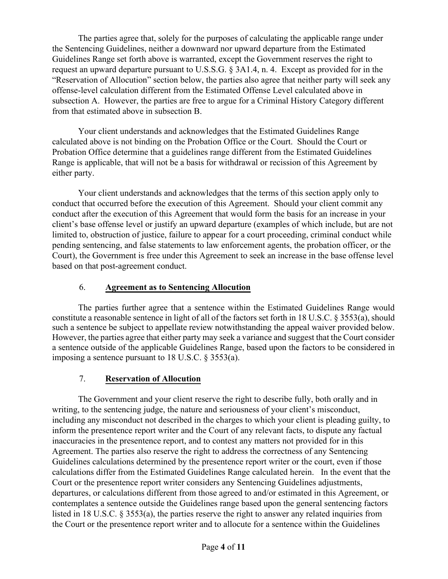The parties agree that, solely for the purposes of calculating the applicable range under the Sentencing Guidelines, neither a downward nor upward departure from the Estimated Guidelines Range set forth above is warranted, except the Government reserves the right to request an upward departure pursuant to U.S.S.G. § 3A1.4, n. 4. Except as provided for in the "Reservation of Allocution" section below, the parties also agree that neither party will seek any offense-level calculation different from the Estimated Offense Level calculated above in subsection A. However, the parties are free to argue for a Criminal History Category different from that estimated above in subsection B.

Your client understands and acknowledges that the Estimated Guidelines Range calculated above is not binding on the Probation Office or the Court. Should the Court or Probation Office determine that a guidelines range different from the Estimated Guidelines Range is applicable, that will not be a basis for withdrawal or recission of this Agreement by either party.

Your client understands and acknowledges that the terms of this section apply only to conduct that occurred before the execution of this Agreement. Should your client commit any conduct after the execution of this Agreement that would form the basis for an increase in your client's base offense level or justify an upward departure (examples of which include, but are not limited to, obstruction of justice, failure to appear for a court proceeding, criminal conduct while pending sentencing, and false statements to law enforcement agents, the probation officer, or the Court), the Government is free under this Agreement to seek an increase in the base offense level based on that post-agreement conduct.

### 6. **Agreement as to Sentencing Allocution**

The parties further agree that a sentence within the Estimated Guidelines Range would constitute a reasonable sentence in light of all of the factors set forth in 18 U.S.C. § 3553(a), should such a sentence be subject to appellate review notwithstanding the appeal waiver provided below. However, the parties agree that either party may seek a variance and suggest that the Court consider a sentence outside of the applicable Guidelines Range, based upon the factors to be considered in imposing a sentence pursuant to 18 U.S.C. § 3553(a).

### 7. **Reservation of Allocution**

The Government and your client reserve the right to describe fully, both orally and in writing, to the sentencing judge, the nature and seriousness of your client's misconduct, including any misconduct not described in the charges to which your client is pleading guilty, to inform the presentence report writer and the Court of any relevant facts, to dispute any factual inaccuracies in the presentence report, and to contest any matters not provided for in this Agreement. The parties also reserve the right to address the correctness of any Sentencing Guidelines calculations determined by the presentence report writer or the court, even if those calculations differ from the Estimated Guidelines Range calculated herein. In the event that the Court or the presentence report writer considers any Sentencing Guidelines adjustments, departures, or calculations different from those agreed to and/or estimated in this Agreement, or contemplates a sentence outside the Guidelines range based upon the general sentencing factors listed in 18 U.S.C. § 3553(a), the parties reserve the right to answer any related inquiries from the Court or the presentence report writer and to allocute for a sentence within the Guidelines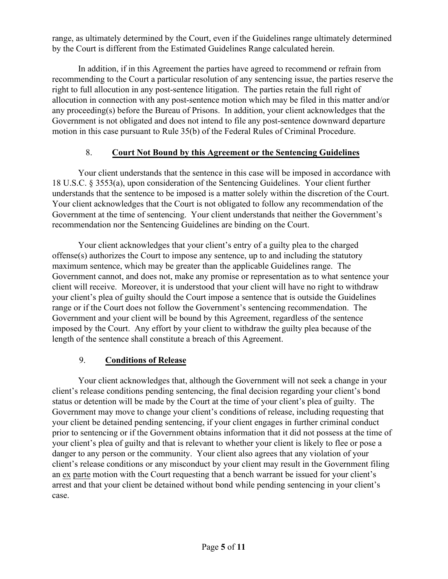range, as ultimately determined by the Court, even if the Guidelines range ultimately determined by the Court is different from the Estimated Guidelines Range calculated herein.

In addition, if in this Agreement the parties have agreed to recommend or refrain from recommending to the Court a particular resolution of any sentencing issue, the parties reserve the right to full allocution in any post-sentence litigation. The parties retain the full right of allocution in connection with any post-sentence motion which may be filed in this matter and/or any proceeding(s) before the Bureau of Prisons. In addition, your client acknowledges that the Government is not obligated and does not intend to file any post-sentence downward departure motion in this case pursuant to Rule 35(b) of the Federal Rules of Criminal Procedure.

## 8. **Court Not Bound by this Agreement or the Sentencing Guidelines**

Your client understands that the sentence in this case will be imposed in accordance with 18 U.S.C. § 3553(a), upon consideration of the Sentencing Guidelines. Your client further understands that the sentence to be imposed is a matter solely within the discretion of the Court. Your client acknowledges that the Court is not obligated to follow any recommendation of the Government at the time of sentencing. Your client understands that neither the Government's recommendation nor the Sentencing Guidelines are binding on the Court.

Your client acknowledges that your client's entry of a guilty plea to the charged offense(s) authorizes the Court to impose any sentence, up to and including the statutory maximum sentence, which may be greater than the applicable Guidelines range. The Government cannot, and does not, make any promise or representation as to what sentence your client will receive. Moreover, it is understood that your client will have no right to withdraw your client's plea of guilty should the Court impose a sentence that is outside the Guidelines range or if the Court does not follow the Government's sentencing recommendation. The Government and your client will be bound by this Agreement, regardless of the sentence imposed by the Court. Any effort by your client to withdraw the guilty plea because of the length of the sentence shall constitute a breach of this Agreement.

## 9. **Conditions of Release**

Your client acknowledges that, although the Government will not seek a change in your client's release conditions pending sentencing, the final decision regarding your client's bond status or detention will be made by the Court at the time of your client's plea of guilty. The Government may move to change your client's conditions of release, including requesting that your client be detained pending sentencing, if your client engages in further criminal conduct prior to sentencing or if the Government obtains information that it did not possess at the time of your client's plea of guilty and that is relevant to whether your client is likely to flee or pose a danger to any person or the community. Your client also agrees that any violation of your client's release conditions or any misconduct by your client may result in the Government filing an ex parte motion with the Court requesting that a bench warrant be issued for your client's arrest and that your client be detained without bond while pending sentencing in your client's case.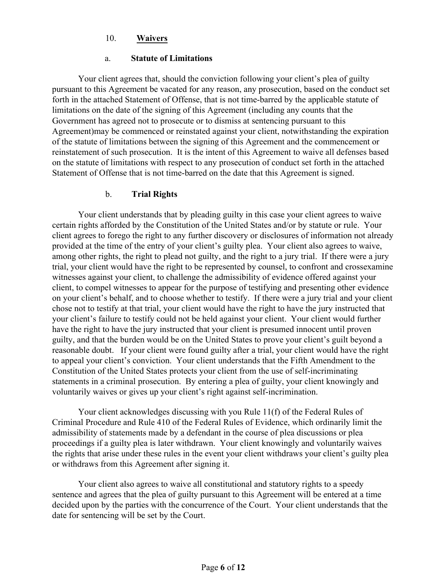### 10. **Waivers**

#### a. **Statute of Limitations**

Your client agrees that, should the conviction following your client's plea of guilty pursuant to this Agreement be vacated for any reason, any prosecution, based on the conduct set forth in the attached Statement of Offense, that is not time-barred by the applicable statute of limitations on the date of the signing of this Agreement (including any counts that the Government has agreed not to prosecute or to dismiss at sentencing pursuant to this Agreement)may be commenced or reinstated against your client, notwithstanding the expiration of the statute of limitations between the signing of this Agreement and the commencement or reinstatement of such prosecution. It is the intent of this Agreement to waive all defenses based on the statute of limitations with respect to any prosecution of conduct set forth in the attached Statement of Offense that is not time-barred on the date that this Agreement is signed.

### b. **Trial Rights**

Your client understands that by pleading guilty in this case your client agrees to waive certain rights afforded by the Constitution of the United States and/or by statute or rule. Your client agrees to forego the right to any further discovery or disclosures of information not already provided at the time of the entry of your client's guilty plea. Your client also agrees to waive, among other rights, the right to plead not guilty, and the right to a jury trial. If there were a jury trial, your client would have the right to be represented by counsel, to confront and crossexamine witnesses against your client, to challenge the admissibility of evidence offered against your client, to compel witnesses to appear for the purpose of testifying and presenting other evidence on your client's behalf, and to choose whether to testify. If there were a jury trial and your client chose not to testify at that trial, your client would have the right to have the jury instructed that your client's failure to testify could not be held against your client. Your client would further have the right to have the jury instructed that your client is presumed innocent until proven guilty, and that the burden would be on the United States to prove your client's guilt beyond a reasonable doubt. If your client were found guilty after a trial, your client would have the right to appeal your client's conviction. Your client understands that the Fifth Amendment to the Constitution of the United States protects your client from the use of self-incriminating statements in a criminal prosecution. By entering a plea of guilty, your client knowingly and voluntarily waives or gives up your client's right against self-incrimination.

Your client acknowledges discussing with you Rule 11(f) of the Federal Rules of Criminal Procedure and Rule 410 of the Federal Rules of Evidence, which ordinarily limit the admissibility of statements made by a defendant in the course of plea discussions or plea proceedings if a guilty plea is later withdrawn. Your client knowingly and voluntarily waives the rights that arise under these rules in the event your client withdraws your client's guilty plea or withdraws from this Agreement after signing it.

Your client also agrees to waive all constitutional and statutory rights to a speedy sentence and agrees that the plea of guilty pursuant to this Agreement will be entered at a time decided upon by the parties with the concurrence of the Court. Your client understands that the date for sentencing will be set by the Court.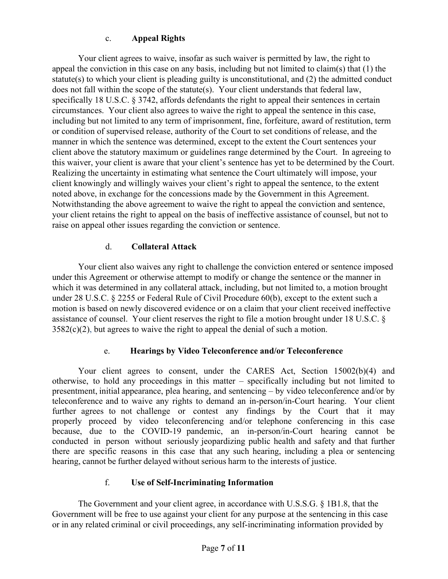### c. **Appeal Rights**

Your client agrees to waive, insofar as such waiver is permitted by law, the right to appeal the conviction in this case on any basis, including but not limited to claim(s) that (1) the statute(s) to which your client is pleading guilty is unconstitutional, and (2) the admitted conduct does not fall within the scope of the statute(s). Your client understands that federal law, specifically 18 U.S.C. § 3742, affords defendants the right to appeal their sentences in certain circumstances. Your client also agrees to waive the right to appeal the sentence in this case, including but not limited to any term of imprisonment, fine, forfeiture, award of restitution, term or condition of supervised release, authority of the Court to set conditions of release, and the manner in which the sentence was determined, except to the extent the Court sentences your client above the statutory maximum or guidelines range determined by the Court. In agreeing to this waiver, your client is aware that your client's sentence has yet to be determined by the Court. Realizing the uncertainty in estimating what sentence the Court ultimately will impose, your client knowingly and willingly waives your client's right to appeal the sentence, to the extent noted above, in exchange for the concessions made by the Government in this Agreement. Notwithstanding the above agreement to waive the right to appeal the conviction and sentence, your client retains the right to appeal on the basis of ineffective assistance of counsel, but not to raise on appeal other issues regarding the conviction or sentence.

## d. **Collateral Attack**

Your client also waives any right to challenge the conviction entered or sentence imposed under this Agreement or otherwise attempt to modify or change the sentence or the manner in which it was determined in any collateral attack, including, but not limited to, a motion brought under 28 U.S.C. § 2255 or Federal Rule of Civil Procedure 60(b), except to the extent such a motion is based on newly discovered evidence or on a claim that your client received ineffective assistance of counsel. Your client reserves the right to file a motion brought under 18 U.S.C. §  $3582(c)(2)$ , but agrees to waive the right to appeal the denial of such a motion.

## e. **Hearings by Video Teleconference and/or Teleconference**

Your client agrees to consent, under the CARES Act, Section 15002(b)(4) and otherwise, to hold any proceedings in this matter – specifically including but not limited to presentment, initial appearance, plea hearing, and sentencing – by video teleconference and/or by teleconference and to waive any rights to demand an in-person/in-Court hearing. Your client further agrees to not challenge or contest any findings by the Court that it may properly proceed by video teleconferencing and/or telephone conferencing in this case because, due to the COVID-19 pandemic, an in-person/in-Court hearing cannot be conducted in person without seriously jeopardizing public health and safety and that further there are specific reasons in this case that any such hearing, including a plea or sentencing hearing, cannot be further delayed without serious harm to the interests of justice.

## f. **Use of Self-Incriminating Information**

The Government and your client agree, in accordance with U.S.S.G. § 1B1.8, that the Government will be free to use against your client for any purpose at the sentencing in this case or in any related criminal or civil proceedings, any self-incriminating information provided by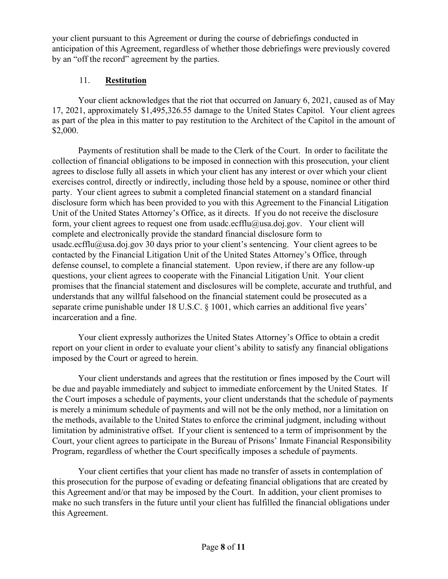your client pursuant to this Agreement or during the course of debriefings conducted in anticipation of this Agreement, regardless of whether those debriefings were previously covered by an "off the record" agreement by the parties.

## 11. **Restitution**

Your client acknowledges that the riot that occurred on January 6, 2021, caused as of May 17, 2021, approximately \$1,495,326.55 damage to the United States Capitol. Your client agrees as part of the plea in this matter to pay restitution to the Architect of the Capitol in the amount of \$2,000.

Payments of restitution shall be made to the Clerk of the Court. In order to facilitate the collection of financial obligations to be imposed in connection with this prosecution, your client agrees to disclose fully all assets in which your client has any interest or over which your client exercises control, directly or indirectly, including those held by a spouse, nominee or other third party. Your client agrees to submit a completed financial statement on a standard financial disclosure form which has been provided to you with this Agreement to the Financial Litigation Unit of the United States Attorney's Office, as it directs. If you do not receive the disclosure form, your client agrees to request one from usadc.ecfflu@usa.doj.gov. Your client will complete and electronically provide the standard financial disclosure form to usadc.ecfflu@usa.doj.gov 30 days prior to your client's sentencing. Your client agrees to be contacted by the Financial Litigation Unit of the United States Attorney's Office, through defense counsel, to complete a financial statement. Upon review, if there are any follow-up questions, your client agrees to cooperate with the Financial Litigation Unit. Your client promises that the financial statement and disclosures will be complete, accurate and truthful, and understands that any willful falsehood on the financial statement could be prosecuted as a separate crime punishable under 18 U.S.C. § 1001, which carries an additional five years' incarceration and a fine.

Your client expressly authorizes the United States Attorney's Office to obtain a credit report on your client in order to evaluate your client's ability to satisfy any financial obligations imposed by the Court or agreed to herein.

Your client understands and agrees that the restitution or fines imposed by the Court will be due and payable immediately and subject to immediate enforcement by the United States. If the Court imposes a schedule of payments, your client understands that the schedule of payments is merely a minimum schedule of payments and will not be the only method, nor a limitation on the methods, available to the United States to enforce the criminal judgment, including without limitation by administrative offset. If your client is sentenced to a term of imprisonment by the Court, your client agrees to participate in the Bureau of Prisons' Inmate Financial Responsibility Program, regardless of whether the Court specifically imposes a schedule of payments.

Your client certifies that your client has made no transfer of assets in contemplation of this prosecution for the purpose of evading or defeating financial obligations that are created by this Agreement and/or that may be imposed by the Court. In addition, your client promises to make no such transfers in the future until your client has fulfilled the financial obligations under this Agreement.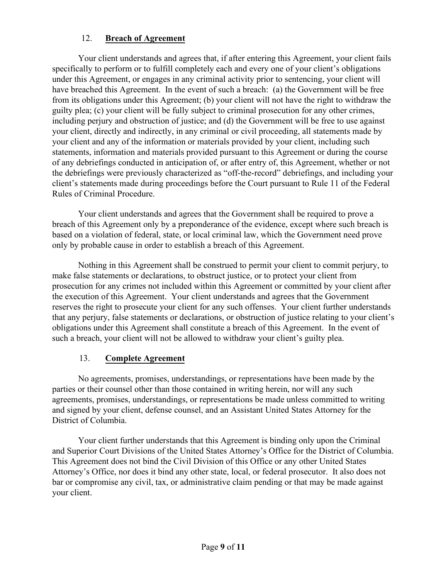## 12. **Breach of Agreement**

Your client understands and agrees that, if after entering this Agreement, your client fails specifically to perform or to fulfill completely each and every one of your client's obligations under this Agreement, or engages in any criminal activity prior to sentencing, your client will have breached this Agreement. In the event of such a breach: (a) the Government will be free from its obligations under this Agreement; (b) your client will not have the right to withdraw the guilty plea; (c) your client will be fully subject to criminal prosecution for any other crimes, including perjury and obstruction of justice; and (d) the Government will be free to use against your client, directly and indirectly, in any criminal or civil proceeding, all statements made by your client and any of the information or materials provided by your client, including such statements, information and materials provided pursuant to this Agreement or during the course of any debriefings conducted in anticipation of, or after entry of, this Agreement, whether or not the debriefings were previously characterized as "off-the-record" debriefings, and including your client's statements made during proceedings before the Court pursuant to Rule 11 of the Federal Rules of Criminal Procedure.

Your client understands and agrees that the Government shall be required to prove a breach of this Agreement only by a preponderance of the evidence, except where such breach is based on a violation of federal, state, or local criminal law, which the Government need prove only by probable cause in order to establish a breach of this Agreement.

Nothing in this Agreement shall be construed to permit your client to commit perjury, to make false statements or declarations, to obstruct justice, or to protect your client from prosecution for any crimes not included within this Agreement or committed by your client after the execution of this Agreement. Your client understands and agrees that the Government reserves the right to prosecute your client for any such offenses. Your client further understands that any perjury, false statements or declarations, or obstruction of justice relating to your client's obligations under this Agreement shall constitute a breach of this Agreement. In the event of such a breach, your client will not be allowed to withdraw your client's guilty plea.

# 13. **Complete Agreement**

No agreements, promises, understandings, or representations have been made by the parties or their counsel other than those contained in writing herein, nor will any such agreements, promises, understandings, or representations be made unless committed to writing and signed by your client, defense counsel, and an Assistant United States Attorney for the District of Columbia.

Your client further understands that this Agreement is binding only upon the Criminal and Superior Court Divisions of the United States Attorney's Office for the District of Columbia. This Agreement does not bind the Civil Division of this Office or any other United States Attorney's Office, nor does it bind any other state, local, or federal prosecutor. It also does not bar or compromise any civil, tax, or administrative claim pending or that may be made against your client.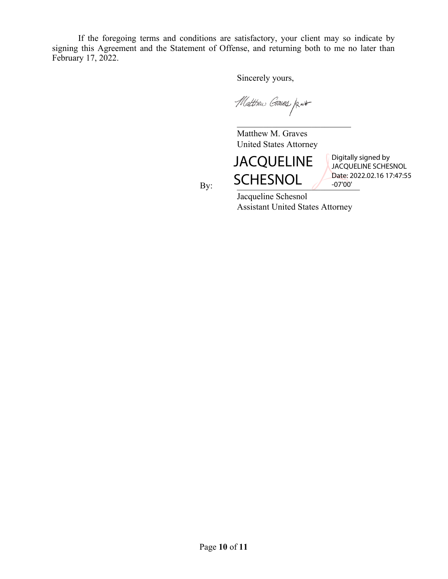If the foregoing terms and conditions are satisfactory, your client may so indicate by signing this Agreement and the Statement of Offense, and returning both to me no later than February 17, 2022.

Sincerely yours,

Mattrew Graves part

Matthew M. Graves United States Attorney



Digitally signed by JACQUELINE SCHESNOL Date: 2022.02.16 17:47:55 -07'00'

By:

Jacqueline Schesnol Assistant United States Attorney

\_\_\_\_\_\_\_\_\_\_\_\_\_\_\_\_\_\_\_\_\_\_\_\_\_\_